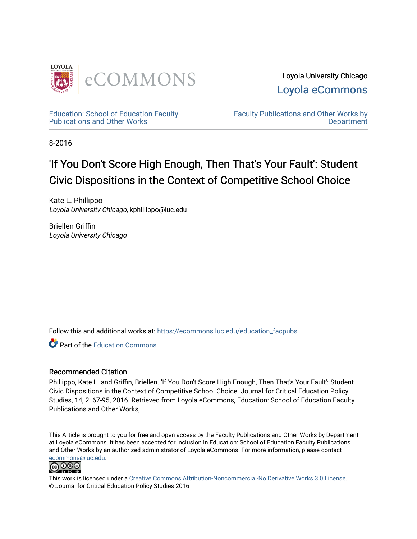

Loyola University Chicago [Loyola eCommons](https://ecommons.luc.edu/) 

[Education: School of Education Faculty](https://ecommons.luc.edu/education_facpubs)  [Publications and Other Works](https://ecommons.luc.edu/education_facpubs) 

[Faculty Publications and Other Works by](https://ecommons.luc.edu/faculty)  **Department** 

8-2016

# 'If You Don't Score High Enough, Then That's Your Fault': Student Civic Dispositions in the Context of Competitive School Choice

Kate L. Phillippo Loyola University Chicago, kphillippo@luc.edu

Briellen Griffin Loyola University Chicago

Follow this and additional works at: [https://ecommons.luc.edu/education\\_facpubs](https://ecommons.luc.edu/education_facpubs?utm_source=ecommons.luc.edu%2Feducation_facpubs%2F112&utm_medium=PDF&utm_campaign=PDFCoverPages) 

**C** Part of the [Education Commons](http://network.bepress.com/hgg/discipline/784?utm_source=ecommons.luc.edu%2Feducation_facpubs%2F112&utm_medium=PDF&utm_campaign=PDFCoverPages)

#### Recommended Citation

Phillippo, Kate L. and Griffin, Briellen. 'If You Don't Score High Enough, Then That's Your Fault': Student Civic Dispositions in the Context of Competitive School Choice. Journal for Critical Education Policy Studies, 14, 2: 67-95, 2016. Retrieved from Loyola eCommons, Education: School of Education Faculty Publications and Other Works,

This Article is brought to you for free and open access by the Faculty Publications and Other Works by Department at Loyola eCommons. It has been accepted for inclusion in Education: School of Education Faculty Publications and Other Works by an authorized administrator of Loyola eCommons. For more information, please contact [ecommons@luc.edu](mailto:ecommons@luc.edu).



This work is licensed under a [Creative Commons Attribution-Noncommercial-No Derivative Works 3.0 License.](https://creativecommons.org/licenses/by-nc-nd/3.0/) © Journal for Critical Education Policy Studies 2016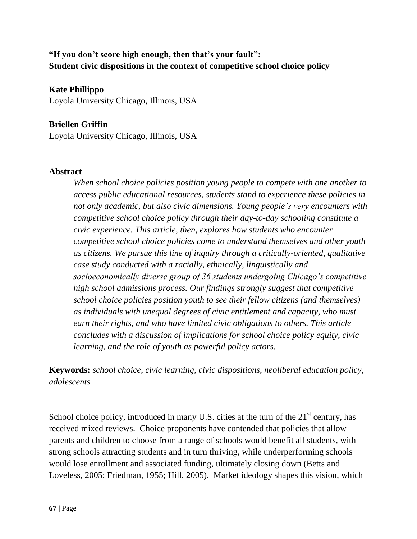# **"If you don't score high enough, then that's your fault": Student civic dispositions in the context of competitive school choice policy**

**Kate Phillippo** Loyola University Chicago, Illinois, USA

# **Briellen Griffin**

Loyola University Chicago, Illinois, USA

#### **Abstract**

*When school choice policies position young people to compete with one another to access public educational resources, students stand to experience these policies in not only academic, but also civic dimensions. Young people's very encounters with competitive school choice policy through their day-to-day schooling constitute a civic experience. This article, then, explores how students who encounter competitive school choice policies come to understand themselves and other youth as citizens. We pursue this line of inquiry through a critically-oriented, qualitative case study conducted with a racially, ethnically, linguistically and socioeconomically diverse group of 36 students undergoing Chicago's competitive high school admissions process. Our findings strongly suggest that competitive school choice policies position youth to see their fellow citizens (and themselves) as individuals with unequal degrees of civic entitlement and capacity, who must earn their rights, and who have limited civic obligations to others. This article concludes with a discussion of implications for school choice policy equity, civic learning, and the role of youth as powerful policy actors.*

**Keywords:** *school choice, civic learning, civic dispositions, neoliberal education policy, adolescents*

School choice policy, introduced in many U.S. cities at the turn of the  $21<sup>st</sup>$  century, has received mixed reviews. Choice proponents have contended that policies that allow parents and children to choose from a range of schools would benefit all students, with strong schools attracting students and in turn thriving, while underperforming schools would lose enrollment and associated funding, ultimately closing down (Betts and Loveless, 2005; Friedman, 1955; Hill, 2005). Market ideology shapes this vision, which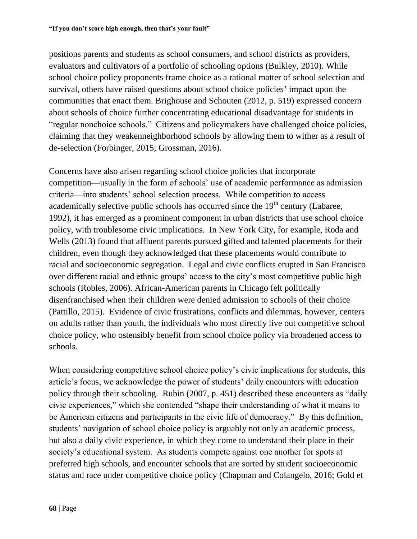positions parents and students as school consumers, and school districts as providers, evaluators and cultivators of a portfolio of schooling options (Bulkley, 2010). While school choice policy proponents frame choice as a rational matter of school selection and survival, others have raised questions about school choice policies' impact upon the communities that enact them. Brighouse and Schouten (2012, p. 519) expressed concern about schools of choice further concentrating educational disadvantage for students in "regular nonchoice schools." Citizens and policymakers have challenged choice policies, claiming that they weakenneighborhood schools by allowing them to wither as a result of de-selection (Forbinger, 2015; Grossman, 2016).

Concerns have also arisen regarding school choice policies that incorporate competition—usually in the form of schools' use of academic performance as admission criteria—into students' school selection process. While competition to access academically selective public schools has occurred since the  $19<sup>th</sup>$  century (Labaree, 1992), it has emerged as a prominent component in urban districts that use school choice policy, with troublesome civic implications. In New York City, for example, Roda and Wells (2013) found that affluent parents pursued gifted and talented placements for their children, even though they acknowledged that these placements would contribute to racial and socioeconomic segregation. Legal and civic conflicts erupted in San Francisco over different racial and ethnic groups' access to the city's most competitive public high schools (Robles, 2006). African-American parents in Chicago felt politically disenfranchised when their children were denied admission to schools of their choice (Pattillo, 2015). Evidence of civic frustrations, conflicts and dilemmas, however, centers on adults rather than youth, the individuals who most directly live out competitive school choice policy, who ostensibly benefit from school choice policy via broadened access to schools.

When considering competitive school choice policy's civic implications for students, this article's focus, we acknowledge the power of students' daily encounters with education policy through their schooling. Rubin (2007, p. 451) described these encounters as "daily civic experiences," which she contended "shape their understanding of what it means to be American citizens and participants in the civic life of democracy." By this definition, students' navigation of school choice policy is arguably not only an academic process, but also a daily civic experience, in which they come to understand their place in their society's educational system. As students compete against one another for spots at preferred high schools, and encounter schools that are sorted by student socioeconomic status and race under competitive choice policy (Chapman and Colangelo, 2016; Gold et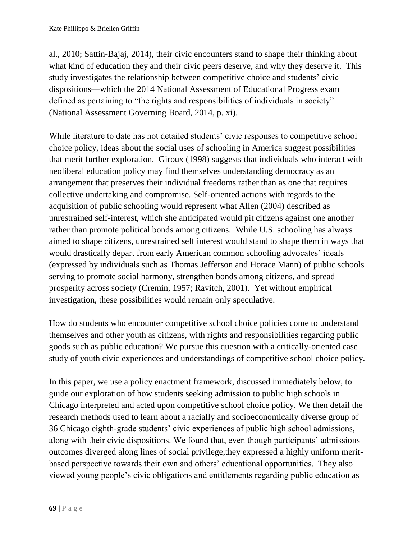al., 2010; Sattin-Bajaj, 2014), their civic encounters stand to shape their thinking about what kind of education they and their civic peers deserve, and why they deserve it. This study investigates the relationship between competitive choice and students' civic dispositions—which the 2014 National Assessment of Educational Progress exam defined as pertaining to "the rights and responsibilities of individuals in society" (National Assessment Governing Board, 2014, p. xi).

While literature to date has not detailed students' civic responses to competitive school choice policy, ideas about the social uses of schooling in America suggest possibilities that merit further exploration. Giroux (1998) suggests that individuals who interact with neoliberal education policy may find themselves understanding democracy as an arrangement that preserves their individual freedoms rather than as one that requires collective undertaking and compromise. Self-oriented actions with regards to the acquisition of public schooling would represent what Allen (2004) described as unrestrained self-interest, which she anticipated would pit citizens against one another rather than promote political bonds among citizens. While U.S. schooling has always aimed to shape citizens, unrestrained self interest would stand to shape them in ways that would drastically depart from early American common schooling advocates' ideals (expressed by individuals such as Thomas Jefferson and Horace Mann) of public schools serving to promote social harmony, strengthen bonds among citizens, and spread prosperity across society (Cremin, 1957; Ravitch, 2001). Yet without empirical investigation, these possibilities would remain only speculative.

How do students who encounter competitive school choice policies come to understand themselves and other youth as citizens, with rights and responsibilities regarding public goods such as public education? We pursue this question with a critically-oriented case study of youth civic experiences and understandings of competitive school choice policy.

In this paper, we use a policy enactment framework, discussed immediately below, to guide our exploration of how students seeking admission to public high schools in Chicago interpreted and acted upon competitive school choice policy. We then detail the research methods used to learn about a racially and socioeconomically diverse group of 36 Chicago eighth-grade students' civic experiences of public high school admissions, along with their civic dispositions. We found that, even though participants' admissions outcomes diverged along lines of social privilege,they expressed a highly uniform meritbased perspective towards their own and others' educational opportunities. They also viewed young people's civic obligations and entitlements regarding public education as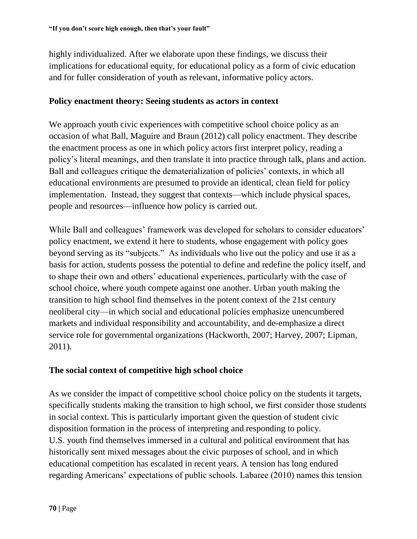highly individualized. After we elaborate upon these findings, we discuss their implications for educational equity, for educational policy as a form of civic education and for fuller consideration of youth as relevant, informative policy actors.

#### **Policy enactment theory: Seeing students as actors in context**

We approach youth civic experiences with competitive school choice policy as an occasion of what Ball, Maguire and Braun (2012) call policy enactment. They describe the enactment process as one in which policy actors first interpret policy, reading a policy's literal meanings, and then translate it into practice through talk, plans and action. Ball and colleagues critique the dematerialization of policies' contexts, in which all educational environments are presumed to provide an identical, clean field for policy implementation. Instead, they suggest that contexts—which include physical spaces, people and resources—influence how policy is carried out.

While Ball and colleagues' framework was developed for scholars to consider educators' policy enactment, we extend it here to students, whose engagement with policy goes beyond serving as its "subjects." As individuals who live out the policy and use it as a basis for action, students possess the potential to define and redefine the policy itself, and to shape their own and others' educational experiences, particularly with the case of school choice, where youth compete against one another. Urban youth making the transition to high school find themselves in the potent context of the 21st century neoliberal city—in which social and educational policies emphasize unencumbered markets and individual responsibility and accountability, and de-emphasize a direct service role for governmental organizations (Hackworth, 2007; Harvey, 2007; Lipman, 2011).

## **The social context of competitive high school choice**

As we consider the impact of competitive school choice policy on the students it targets, specifically students making the transition to high school, we first consider those students in social context. This is particularly important given the question of student civic disposition formation in the process of interpreting and responding to policy. U.S. youth find themselves immersed in a cultural and political environment that has historically sent mixed messages about the civic purposes of school, and in which educational competition has escalated in recent years. A tension has long endured regarding Americans' expectations of public schools. Labaree (2010) names this tension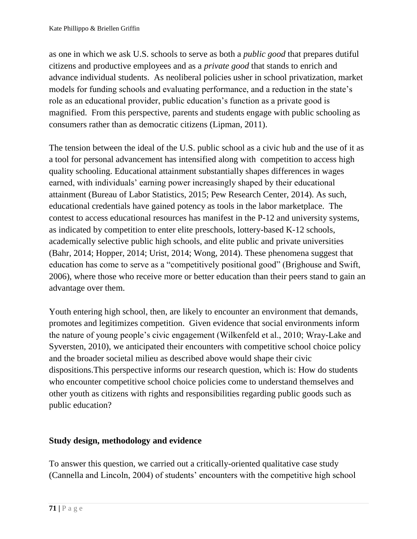as one in which we ask U.S. schools to serve as both a *public good* that prepares dutiful citizens and productive employees and as a *private good* that stands to enrich and advance individual students. As neoliberal policies usher in school privatization, market models for funding schools and evaluating performance, and a reduction in the state's role as an educational provider, public education's function as a private good is magnified. From this perspective, parents and students engage with public schooling as consumers rather than as democratic citizens (Lipman, 2011).

The tension between the ideal of the U.S. public school as a civic hub and the use of it as a tool for personal advancement has intensified along with competition to access high quality schooling. Educational attainment substantially shapes differences in wages earned, with individuals' earning power increasingly shaped by their educational attainment (Bureau of Labor Statistics, 2015; Pew Research Center, 2014). As such, educational credentials have gained potency as tools in the labor marketplace. The contest to access educational resources has manifest in the P-12 and university systems, as indicated by competition to enter elite preschools, lottery-based K-12 schools, academically selective public high schools, and elite public and private universities (Bahr, 2014; Hopper, 2014; Urist, 2014; Wong, 2014). These phenomena suggest that education has come to serve as a "competitively positional good" (Brighouse and Swift, 2006), where those who receive more or better education than their peers stand to gain an advantage over them.

Youth entering high school, then, are likely to encounter an environment that demands, promotes and legitimizes competition. Given evidence that social environments inform the nature of young people's civic engagement (Wilkenfeld et al., 2010; Wray-Lake and Syversten, 2010), we anticipated their encounters with competitive school choice policy and the broader societal milieu as described above would shape their civic dispositions.This perspective informs our research question, which is: How do students who encounter competitive school choice policies come to understand themselves and other youth as citizens with rights and responsibilities regarding public goods such as public education?

# **Study design, methodology and evidence**

To answer this question, we carried out a critically-oriented qualitative case study (Cannella and Lincoln, 2004) of students' encounters with the competitive high school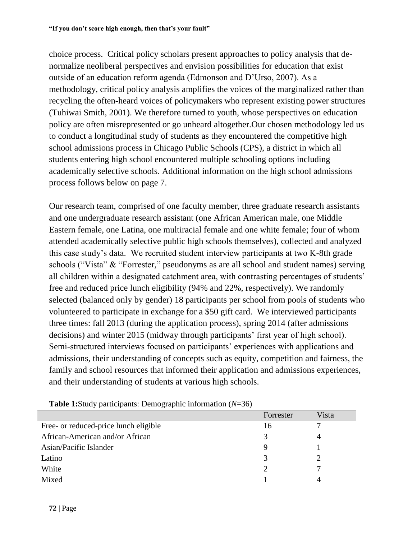choice process. Critical policy scholars present approaches to policy analysis that denormalize neoliberal perspectives and envision possibilities for education that exist outside of an education reform agenda (Edmonson and D'Urso, 2007). As a methodology, critical policy analysis amplifies the voices of the marginalized rather than recycling the often-heard voices of policymakers who represent existing power structures (Tuhiwai Smith, 2001). We therefore turned to youth, whose perspectives on education policy are often misrepresented or go unheard altogether.Our chosen methodology led us to conduct a longitudinal study of students as they encountered the competitive high school admissions process in Chicago Public Schools (CPS), a district in which all students entering high school encountered multiple schooling options including academically selective schools. Additional information on the high school admissions process follows below on page 7.

Our research team, comprised of one faculty member, three graduate research assistants and one undergraduate research assistant (one African American male, one Middle Eastern female, one Latina, one multiracial female and one white female; four of whom attended academically selective public high schools themselves), collected and analyzed this case study's data. We recruited student interview participants at two K-8th grade schools ("Vista" & "Forrester," pseudonyms as are all school and student names) serving all children within a designated catchment area, with contrasting percentages of students' free and reduced price lunch eligibility (94% and 22%, respectively). We randomly selected (balanced only by gender) 18 participants per school from pools of students who volunteered to participate in exchange for a \$50 gift card. We interviewed participants three times: fall 2013 (during the application process), spring 2014 (after admissions decisions) and winter 2015 (midway through participants' first year of high school). Semi-structured interviews focused on participants' experiences with applications and admissions, their understanding of concepts such as equity, competition and fairness, the family and school resources that informed their application and admissions experiences, and their understanding of students at various high schools.

|                                       | Forrester     | Vista |
|---------------------------------------|---------------|-------|
| Free- or reduced-price lunch eligible | 16            |       |
| African-American and/or African       | 3             |       |
| Asian/Pacific Islander                |               |       |
| Latino                                |               |       |
| White                                 | $\mathcal{D}$ |       |
| Mixed                                 |               |       |

**Table 1:**Study participants: Demographic information (*N*=36)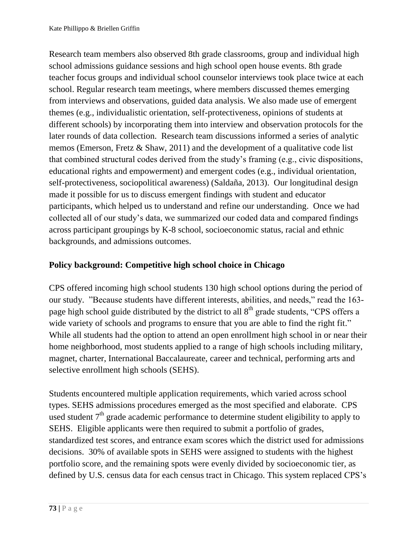Research team members also observed 8th grade classrooms, group and individual high school admissions guidance sessions and high school open house events. 8th grade teacher focus groups and individual school counselor interviews took place twice at each school. Regular research team meetings, where members discussed themes emerging from interviews and observations, guided data analysis. We also made use of emergent themes (e.g., individualistic orientation, self-protectiveness, opinions of students at different schools) by incorporating them into interview and observation protocols for the later rounds of data collection. Research team discussions informed a series of analytic memos (Emerson, Fretz & Shaw, 2011) and the development of a qualitative code list that combined structural codes derived from the study's framing (e.g., civic dispositions, educational rights and empowerment) and emergent codes (e.g., individual orientation, self-protectiveness, sociopolitical awareness) (Saldaña, 2013). Our longitudinal design made it possible for us to discuss emergent findings with student and educator participants, which helped us to understand and refine our understanding. Once we had collected all of our study's data, we summarized our coded data and compared findings across participant groupings by K-8 school, socioeconomic status, racial and ethnic backgrounds, and admissions outcomes.

# **Policy background: Competitive high school choice in Chicago**

CPS offered incoming high school students 130 high school options during the period of our study. "Because students have different interests, abilities, and needs," read the 163 page high school guide distributed by the district to all  $8<sup>th</sup>$  grade students, "CPS offers a wide variety of schools and programs to ensure that you are able to find the right fit." While all students had the option to attend an open enrollment high school in or near their home neighborhood, most students applied to a range of high schools including military, magnet, charter, International Baccalaureate, career and technical, performing arts and selective enrollment high schools (SEHS).

Students encountered multiple application requirements, which varied across school types. SEHS admissions procedures emerged as the most specified and elaborate. CPS used student  $7<sup>th</sup>$  grade academic performance to determine student eligibility to apply to SEHS. Eligible applicants were then required to submit a portfolio of grades, standardized test scores, and entrance exam scores which the district used for admissions decisions. 30% of available spots in SEHS were assigned to students with the highest portfolio score, and the remaining spots were evenly divided by socioeconomic tier, as defined by U.S. census data for each census tract in Chicago. This system replaced CPS's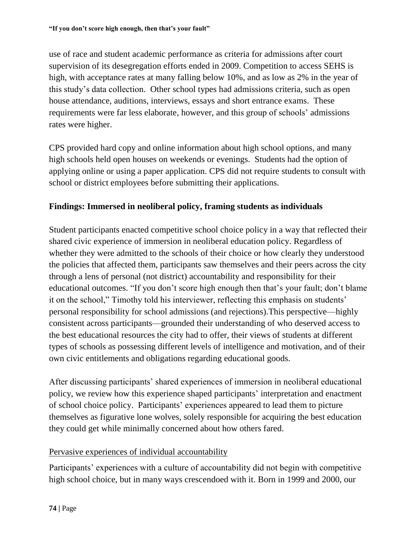use of race and student academic performance as criteria for admissions after court supervision of its desegregation efforts ended in 2009. Competition to access SEHS is high, with acceptance rates at many falling below 10%, and as low as 2% in the year of this study's data collection. Other school types had admissions criteria, such as open house attendance, auditions, interviews, essays and short entrance exams. These requirements were far less elaborate, however, and this group of schools' admissions rates were higher.

CPS provided hard copy and online information about high school options, and many high schools held open houses on weekends or evenings. Students had the option of applying online or using a paper application. CPS did not require students to consult with school or district employees before submitting their applications.

# **Findings: Immersed in neoliberal policy, framing students as individuals**

Student participants enacted competitive school choice policy in a way that reflected their shared civic experience of immersion in neoliberal education policy. Regardless of whether they were admitted to the schools of their choice or how clearly they understood the policies that affected them, participants saw themselves and their peers across the city through a lens of personal (not district) accountability and responsibility for their educational outcomes. "If you don't score high enough then that's your fault; don't blame it on the school," Timothy told his interviewer, reflecting this emphasis on students' personal responsibility for school admissions (and rejections).This perspective—highly consistent across participants—grounded their understanding of who deserved access to the best educational resources the city had to offer, their views of students at different types of schools as possessing different levels of intelligence and motivation, and of their own civic entitlements and obligations regarding educational goods.

After discussing participants' shared experiences of immersion in neoliberal educational policy, we review how this experience shaped participants' interpretation and enactment of school choice policy. Participants' experiences appeared to lead them to picture themselves as figurative lone wolves, solely responsible for acquiring the best education they could get while minimally concerned about how others fared.

## Pervasive experiences of individual accountability

Participants' experiences with a culture of accountability did not begin with competitive high school choice, but in many ways crescendoed with it. Born in 1999 and 2000, our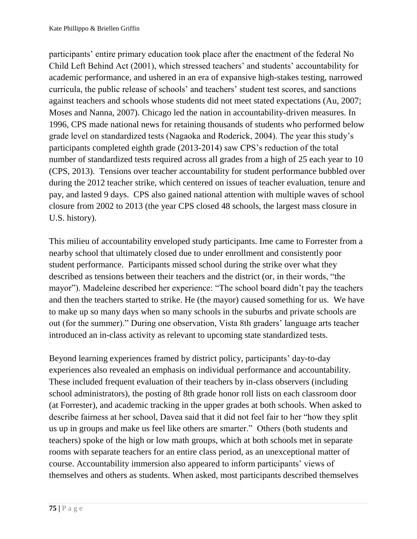participants' entire primary education took place after the enactment of the federal No Child Left Behind Act (2001), which stressed teachers' and students' accountability for academic performance, and ushered in an era of expansive high-stakes testing, narrowed curricula, the public release of schools' and teachers' student test scores, and sanctions against teachers and schools whose students did not meet stated expectations (Au, 2007; Moses and Nanna, 2007). Chicago led the nation in accountability-driven measures. In 1996, CPS made national news for retaining thousands of students who performed below grade level on standardized tests (Nagaoka and Roderick, 2004). The year this study's participants completed eighth grade (2013-2014) saw CPS's reduction of the total number of standardized tests required across all grades from a high of 25 each year to 10 (CPS, 2013). Tensions over teacher accountability for student performance bubbled over during the 2012 teacher strike, which centered on issues of teacher evaluation, tenure and pay, and lasted 9 days. CPS also gained national attention with multiple waves of school closure from 2002 to 2013 (the year CPS closed 48 schools, the largest mass closure in U.S. history).

This milieu of accountability enveloped study participants. Ime came to Forrester from a nearby school that ultimately closed due to under enrollment and consistently poor student performance. Participants missed school during the strike over what they described as tensions between their teachers and the district (or, in their words, "the mayor"). Madeleine described her experience: "The school board didn't pay the teachers and then the teachers started to strike. He (the mayor) caused something for us. We have to make up so many days when so many schools in the suburbs and private schools are out (for the summer)." During one observation, Vista 8th graders' language arts teacher introduced an in-class activity as relevant to upcoming state standardized tests.

Beyond learning experiences framed by district policy, participants' day-to-day experiences also revealed an emphasis on individual performance and accountability. These included frequent evaluation of their teachers by in-class observers (including school administrators), the posting of 8th grade honor roll lists on each classroom door (at Forrester), and academic tracking in the upper grades at both schools. When asked to describe fairness at her school, Davea said that it did not feel fair to her "how they split us up in groups and make us feel like others are smarter." Others (both students and teachers) spoke of the high or low math groups, which at both schools met in separate rooms with separate teachers for an entire class period, as an unexceptional matter of course. Accountability immersion also appeared to inform participants' views of themselves and others as students. When asked, most participants described themselves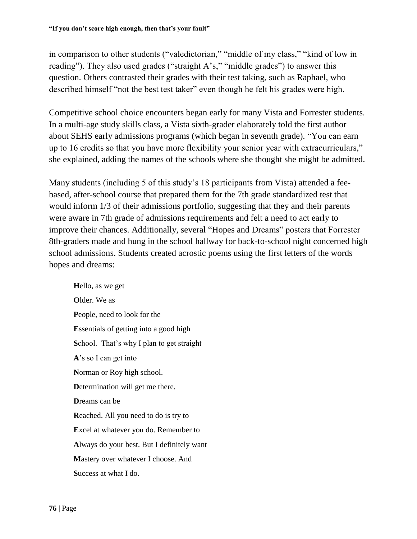in comparison to other students ("valedictorian," "middle of my class," "kind of low in reading"). They also used grades ("straight A's," "middle grades") to answer this question. Others contrasted their grades with their test taking, such as Raphael, who described himself "not the best test taker" even though he felt his grades were high.

Competitive school choice encounters began early for many Vista and Forrester students. In a multi-age study skills class, a Vista sixth-grader elaborately told the first author about SEHS early admissions programs (which began in seventh grade). "You can earn up to 16 credits so that you have more flexibility your senior year with extracurriculars," she explained, adding the names of the schools where she thought she might be admitted.

Many students (including 5 of this study's 18 participants from Vista) attended a feebased, after-school course that prepared them for the 7th grade standardized test that would inform 1/3 of their admissions portfolio, suggesting that they and their parents were aware in 7th grade of admissions requirements and felt a need to act early to improve their chances. Additionally, several "Hopes and Dreams" posters that Forrester 8th-graders made and hung in the school hallway for back-to-school night concerned high school admissions. Students created acrostic poems using the first letters of the words hopes and dreams:

**H**ello, as we get **O**lder. We as **P**eople, need to look for the **E**ssentials of getting into a good high **S**chool. That's why I plan to get straight **A**'s so I can get into **N**orman or Roy high school. **D**etermination will get me there. **D**reams can be **R**eached. All you need to do is try to **E**xcel at whatever you do. Remember to **A**lways do your best. But I definitely want **M**astery over whatever I choose. And **S**uccess at what I do.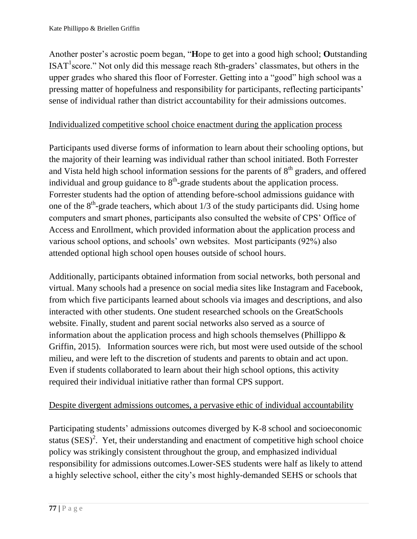Another poster's acrostic poem began, "**H**ope to get into a good high school; **O**utstanding  $ISAT<sup>1</sup> score."$  Not only did this message reach 8th-graders' classmates, but others in the upper grades who shared this floor of Forrester. Getting into a "good" high school was a pressing matter of hopefulness and responsibility for participants, reflecting participants' sense of individual rather than district accountability for their admissions outcomes.

# Individualized competitive school choice enactment during the application process

Participants used diverse forms of information to learn about their schooling options, but the majority of their learning was individual rather than school initiated. Both Forrester and Vista held high school information sessions for the parents of  $8<sup>th</sup>$  graders, and offered individual and group guidance to  $8<sup>th</sup>$ -grade students about the application process. Forrester students had the option of attending before-school admissions guidance with one of the  $8<sup>th</sup>$ -grade teachers, which about 1/3 of the study participants did. Using home computers and smart phones, participants also consulted the website of CPS' Office of Access and Enrollment, which provided information about the application process and various school options, and schools' own websites. Most participants (92%) also attended optional high school open houses outside of school hours.

Additionally, participants obtained information from social networks, both personal and virtual. Many schools had a presence on social media sites like Instagram and Facebook, from which five participants learned about schools via images and descriptions, and also interacted with other students. One student researched schools on the GreatSchools website. Finally, student and parent social networks also served as a source of information about the application process and high schools themselves (Phillippo & Griffin, 2015). Information sources were rich, but most were used outside of the school milieu, and were left to the discretion of students and parents to obtain and act upon. Even if students collaborated to learn about their high school options, this activity required their individual initiative rather than formal CPS support.

## Despite divergent admissions outcomes, a pervasive ethic of individual accountability

Participating students' admissions outcomes diverged by K-8 school and socioeconomic status  $(SES)^2$ . Yet, their understanding and enactment of competitive high school choice policy was strikingly consistent throughout the group, and emphasized individual responsibility for admissions outcomes.Lower-SES students were half as likely to attend a highly selective school, either the city's most highly-demanded SEHS or schools that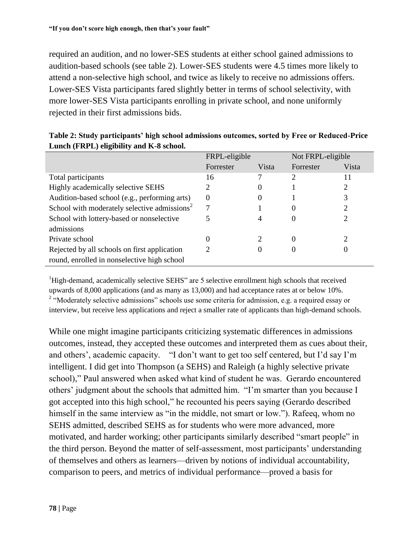required an audition, and no lower-SES students at either school gained admissions to audition-based schools (see table 2). Lower-SES students were 4.5 times more likely to attend a non-selective high school, and twice as likely to receive no admissions offers. Lower-SES Vista participants fared slightly better in terms of school selectivity, with more lower-SES Vista participants enrolling in private school, and none uniformly rejected in their first admissions bids.

|                                                          | FRPL-eligible |       | Not FRPL-eligible |       |
|----------------------------------------------------------|---------------|-------|-------------------|-------|
|                                                          | Forrester     | Vista | Forrester         | Vista |
| Total participants                                       | 16            |       | 2                 | 11    |
| Highly academically selective SEHS                       |               | 0     |                   |       |
| Audition-based school (e.g., performing arts)            | $\theta$      | 0     |                   |       |
| School with moderately selective admissions <sup>2</sup> | 7             |       | 0                 |       |
| School with lottery-based or nonselective                |               | 4     | 0                 |       |
| admissions                                               |               |       |                   |       |
| Private school                                           | 0             |       | 0                 | ∍     |
| Rejected by all schools on first application             |               |       |                   | U     |
| round, enrolled in nonselective high school              |               |       |                   |       |

#### **Table 2: Study participants' high school admissions outcomes, sorted by Free or Reduced-Price Lunch (FRPL) eligibility and K-8 school.**

<sup>1</sup>High-demand, academically selective SEHS" are 5 selective enrollment high schools that received upwards of 8,000 applications (and as many as 13,000) and had acceptance rates at or below 10%. <sup>2</sup> "Moderately selective admissions" schools use some criteria for admission, e.g. a required essay or interview, but receive less applications and reject a smaller rate of applicants than high-demand schools.

While one might imagine participants criticizing systematic differences in admissions outcomes, instead, they accepted these outcomes and interpreted them as cues about their, and others', academic capacity. "I don't want to get too self centered, but I'd say I'm intelligent. I did get into Thompson (a SEHS) and Raleigh (a highly selective private school)," Paul answered when asked what kind of student he was. Gerardo encountered others' judgment about the schools that admitted him. "I'm smarter than you because I got accepted into this high school," he recounted his peers saying (Gerardo described himself in the same interview as "in the middle, not smart or low."). Rafeeq, whom no SEHS admitted, described SEHS as for students who were more advanced, more motivated, and harder working; other participants similarly described "smart people" in the third person. Beyond the matter of self-assessment, most participants' understanding of themselves and others as learners—driven by notions of individual accountability, comparison to peers, and metrics of individual performance—proved a basis for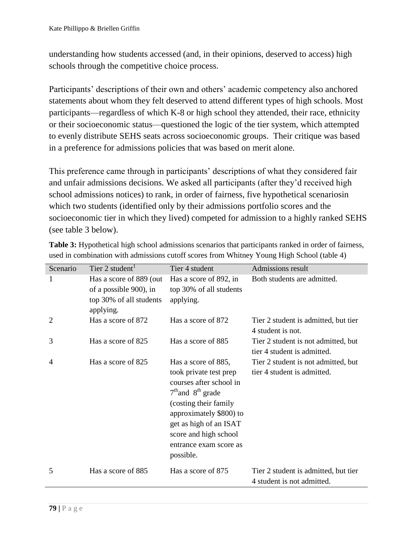understanding how students accessed (and, in their opinions, deserved to access) high schools through the competitive choice process.

Participants' descriptions of their own and others' academic competency also anchored statements about whom they felt deserved to attend different types of high schools. Most participants—regardless of which K-8 or high school they attended, their race, ethnicity or their socioeconomic status—questioned the logic of the tier system, which attempted to evenly distribute SEHS seats across socioeconomic groups. Their critique was based in a preference for admissions policies that was based on merit alone.

This preference came through in participants' descriptions of what they considered fair and unfair admissions decisions. We asked all participants (after they'd received high school admissions notices) to rank, in order of fairness, five hypothetical scenariosin which two students (identified only by their admissions portfolio scores and the socioeconomic tier in which they lived) competed for admission to a highly ranked SEHS (see table 3 below).

| Scenario       | Tier 2 student <sup>1</sup>                                                               | Tier 4 student                                                                                                                                                                                                                                   | Admissions result                                                  |
|----------------|-------------------------------------------------------------------------------------------|--------------------------------------------------------------------------------------------------------------------------------------------------------------------------------------------------------------------------------------------------|--------------------------------------------------------------------|
| 1              | Has a score of 889 (out<br>of a possible 900), in<br>top 30% of all students<br>applying. | Has a score of 892, in<br>top 30% of all students<br>applying.                                                                                                                                                                                   | Both students are admitted.                                        |
| 2              | Has a score of 872                                                                        | Has a score of 872                                                                                                                                                                                                                               | Tier 2 student is admitted, but tier<br>4 student is not.          |
| 3              | Has a score of 825                                                                        | Has a score of 885                                                                                                                                                                                                                               | Tier 2 student is not admitted, but<br>tier 4 student is admitted. |
| $\overline{4}$ | Has a score of 825                                                                        | Has a score of 885,<br>took private test prep<br>courses after school in<br>$7th$ and $8th$ grade<br>(costing their family)<br>approximately \$800) to<br>get as high of an ISAT<br>score and high school<br>entrance exam score as<br>possible. | Tier 2 student is not admitted, but<br>tier 4 student is admitted. |
| 5              | Has a score of 885                                                                        | Has a score of 875                                                                                                                                                                                                                               | Tier 2 student is admitted, but tier<br>4 student is not admitted. |

**Table 3:** Hypothetical high school admissions scenarios that participants ranked in order of fairness, used in combination with admissions cutoff scores from Whitney Young High School (table 4)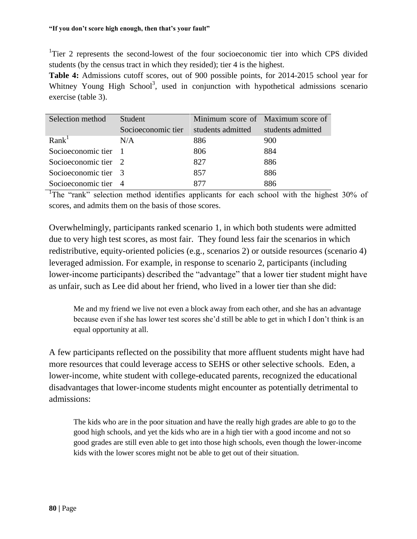<sup>1</sup>Tier 2 represents the second-lowest of the four socioeconomic tier into which CPS divided students (by the census tract in which they resided); tier 4 is the highest.

**Table 4:** Admissions cutoff scores, out of 900 possible points, for 2014-2015 school year for Whitney Young High School<sup>3</sup>, used in conjunction with hypothetical admissions scenario exercise (table 3).

| Selection method     | Student            | Minimum score of Maximum score of |                   |
|----------------------|--------------------|-----------------------------------|-------------------|
|                      | Socioeconomic tier | students admitted                 | students admitted |
| Rank <sup>1</sup>    | N/A                | 886                               | 900               |
| Socioeconomic tier 1 |                    | 806                               | 884               |
| Socioeconomic tier 2 |                    | 827                               | 886               |
| Socioeconomic tier 3 |                    | 857                               | 886               |
| Socioeconomic tier 4 |                    | 877                               | 886               |

<sup>1</sup>The "rank" selection method identifies applicants for each school with the highest 30% of scores, and admits them on the basis of those scores.

Overwhelmingly, participants ranked scenario 1, in which both students were admitted due to very high test scores, as most fair. They found less fair the scenarios in which redistributive, equity-oriented policies (e.g., scenarios 2) or outside resources (scenario 4) leveraged admission. For example, in response to scenario 2, participants (including lower-income participants) described the "advantage" that a lower tier student might have as unfair, such as Lee did about her friend, who lived in a lower tier than she did:

Me and my friend we live not even a block away from each other, and she has an advantage because even if she has lower test scores she'd still be able to get in which I don't think is an equal opportunity at all.

A few participants reflected on the possibility that more affluent students might have had more resources that could leverage access to SEHS or other selective schools. Eden, a lower-income, white student with college-educated parents, recognized the educational disadvantages that lower-income students might encounter as potentially detrimental to admissions:

The kids who are in the poor situation and have the really high grades are able to go to the good high schools, and yet the kids who are in a high tier with a good income and not so good grades are still even able to get into those high schools, even though the lower-income kids with the lower scores might not be able to get out of their situation.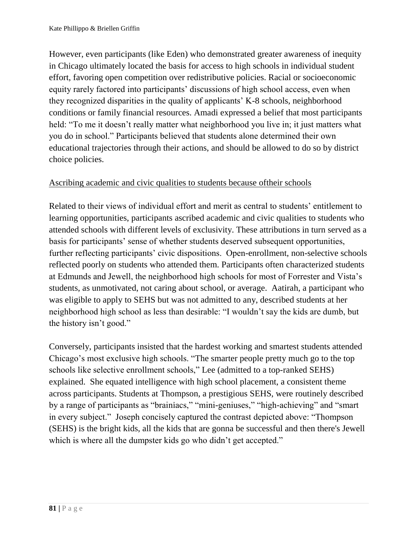However, even participants (like Eden) who demonstrated greater awareness of inequity in Chicago ultimately located the basis for access to high schools in individual student effort, favoring open competition over redistributive policies. Racial or socioeconomic equity rarely factored into participants' discussions of high school access, even when they recognized disparities in the quality of applicants' K-8 schools, neighborhood conditions or family financial resources. Amadi expressed a belief that most participants held: "To me it doesn't really matter what neighborhood you live in; it just matters what you do in school." Participants believed that students alone determined their own educational trajectories through their actions, and should be allowed to do so by district choice policies.

#### Ascribing academic and civic qualities to students because oftheir schools

Related to their views of individual effort and merit as central to students' entitlement to learning opportunities, participants ascribed academic and civic qualities to students who attended schools with different levels of exclusivity. These attributions in turn served as a basis for participants' sense of whether students deserved subsequent opportunities, further reflecting participants' civic dispositions. Open-enrollment, non-selective schools reflected poorly on students who attended them. Participants often characterized students at Edmunds and Jewell, the neighborhood high schools for most of Forrester and Vista's students, as unmotivated, not caring about school, or average. Aatirah, a participant who was eligible to apply to SEHS but was not admitted to any, described students at her neighborhood high school as less than desirable: "I wouldn't say the kids are dumb, but the history isn't good."

Conversely, participants insisted that the hardest working and smartest students attended Chicago's most exclusive high schools. "The smarter people pretty much go to the top schools like selective enrollment schools," Lee (admitted to a top-ranked SEHS) explained. She equated intelligence with high school placement, a consistent theme across participants. Students at Thompson, a prestigious SEHS, were routinely described by a range of participants as "brainiacs," "mini-geniuses," "high-achieving" and "smart in every subject." Joseph concisely captured the contrast depicted above: "Thompson (SEHS) is the bright kids, all the kids that are gonna be successful and then there's Jewell which is where all the dumpster kids go who didn't get accepted."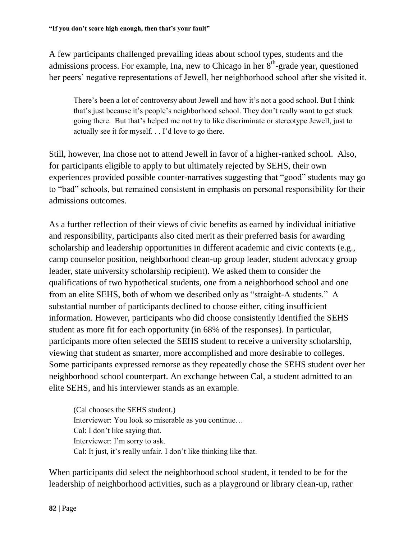A few participants challenged prevailing ideas about school types, students and the admissions process. For example, Ina, new to Chicago in her  $8<sup>th</sup>$ -grade year, questioned her peers' negative representations of Jewell, her neighborhood school after she visited it.

There's been a lot of controversy about Jewell and how it's not a good school. But I think that's just because it's people's neighborhood school. They don't really want to get stuck going there. But that's helped me not try to like discriminate or stereotype Jewell, just to actually see it for myself. . . I'd love to go there.

Still, however, Ina chose not to attend Jewell in favor of a higher-ranked school. Also, for participants eligible to apply to but ultimately rejected by SEHS, their own experiences provided possible counter-narratives suggesting that "good" students may go to "bad" schools, but remained consistent in emphasis on personal responsibility for their admissions outcomes.

As a further reflection of their views of civic benefits as earned by individual initiative and responsibility, participants also cited merit as their preferred basis for awarding scholarship and leadership opportunities in different academic and civic contexts (e.g., camp counselor position, neighborhood clean-up group leader, student advocacy group leader, state university scholarship recipient). We asked them to consider the qualifications of two hypothetical students, one from a neighborhood school and one from an elite SEHS, both of whom we described only as "straight-A students." A substantial number of participants declined to choose either, citing insufficient information. However, participants who did choose consistently identified the SEHS student as more fit for each opportunity (in 68% of the responses). In particular, participants more often selected the SEHS student to receive a university scholarship, viewing that student as smarter, more accomplished and more desirable to colleges. Some participants expressed remorse as they repeatedly chose the SEHS student over her neighborhood school counterpart. An exchange between Cal, a student admitted to an elite SEHS, and his interviewer stands as an example.

(Cal chooses the SEHS student.) Interviewer: You look so miserable as you continue… Cal: I don't like saying that. Interviewer: I'm sorry to ask. Cal: It just, it's really unfair. I don't like thinking like that.

When participants did select the neighborhood school student, it tended to be for the leadership of neighborhood activities, such as a playground or library clean-up, rather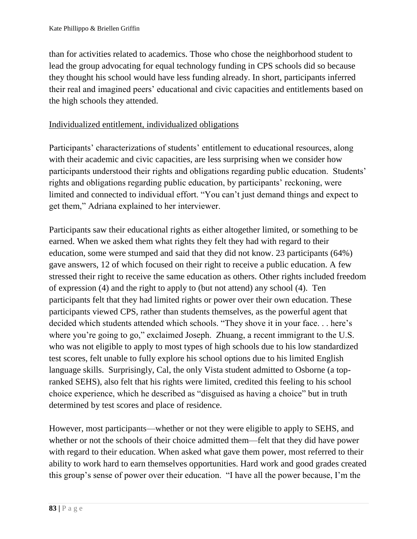than for activities related to academics. Those who chose the neighborhood student to lead the group advocating for equal technology funding in CPS schools did so because they thought his school would have less funding already. In short, participants inferred their real and imagined peers' educational and civic capacities and entitlements based on the high schools they attended.

#### Individualized entitlement, individualized obligations

Participants' characterizations of students' entitlement to educational resources, along with their academic and civic capacities, are less surprising when we consider how participants understood their rights and obligations regarding public education. Students' rights and obligations regarding public education, by participants' reckoning, were limited and connected to individual effort. "You can't just demand things and expect to get them," Adriana explained to her interviewer.

Participants saw their educational rights as either altogether limited, or something to be earned. When we asked them what rights they felt they had with regard to their education, some were stumped and said that they did not know. 23 participants (64%) gave answers, 12 of which focused on their right to receive a public education. A few stressed their right to receive the same education as others. Other rights included freedom of expression (4) and the right to apply to (but not attend) any school (4). Ten participants felt that they had limited rights or power over their own education. These participants viewed CPS, rather than students themselves, as the powerful agent that decided which students attended which schools. "They shove it in your face. . . here's where you're going to go," exclaimed Joseph. Zhuang, a recent immigrant to the U.S. who was not eligible to apply to most types of high schools due to his low standardized test scores, felt unable to fully explore his school options due to his limited English language skills. Surprisingly, Cal, the only Vista student admitted to Osborne (a topranked SEHS), also felt that his rights were limited, credited this feeling to his school choice experience, which he described as "disguised as having a choice" but in truth determined by test scores and place of residence.

However, most participants—whether or not they were eligible to apply to SEHS, and whether or not the schools of their choice admitted them—felt that they did have power with regard to their education. When asked what gave them power, most referred to their ability to work hard to earn themselves opportunities. Hard work and good grades created this group's sense of power over their education. "I have all the power because, I'm the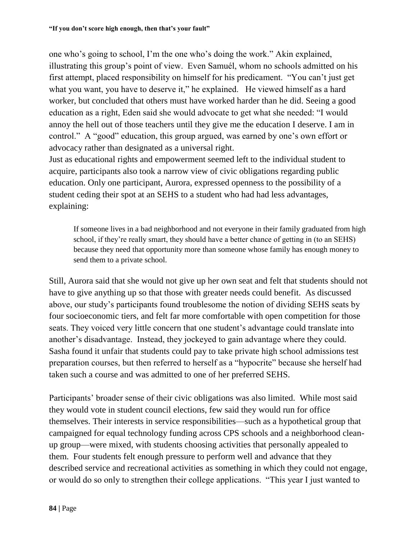one who's going to school, I'm the one who's doing the work." Akin explained, illustrating this group's point of view. Even Samuél, whom no schools admitted on his first attempt, placed responsibility on himself for his predicament. "You can't just get what you want, you have to deserve it," he explained. He viewed himself as a hard worker, but concluded that others must have worked harder than he did. Seeing a good education as a right, Eden said she would advocate to get what she needed: "I would annoy the hell out of those teachers until they give me the education I deserve. I am in control." A "good" education, this group argued, was earned by one's own effort or advocacy rather than designated as a universal right.

Just as educational rights and empowerment seemed left to the individual student to acquire, participants also took a narrow view of civic obligations regarding public education. Only one participant, Aurora, expressed openness to the possibility of a student ceding their spot at an SEHS to a student who had had less advantages, explaining:

If someone lives in a bad neighborhood and not everyone in their family graduated from high school, if they're really smart, they should have a better chance of getting in (to an SEHS) because they need that opportunity more than someone whose family has enough money to send them to a private school.

Still, Aurora said that she would not give up her own seat and felt that students should not have to give anything up so that those with greater needs could benefit. As discussed above, our study's participants found troublesome the notion of dividing SEHS seats by four socioeconomic tiers, and felt far more comfortable with open competition for those seats. They voiced very little concern that one student's advantage could translate into another's disadvantage. Instead, they jockeyed to gain advantage where they could. Sasha found it unfair that students could pay to take private high school admissions test preparation courses, but then referred to herself as a "hypocrite" because she herself had taken such a course and was admitted to one of her preferred SEHS.

Participants' broader sense of their civic obligations was also limited. While most said they would vote in student council elections, few said they would run for office themselves. Their interests in service responsibilities—such as a hypothetical group that campaigned for equal technology funding across CPS schools and a neighborhood cleanup group—were mixed, with students choosing activities that personally appealed to them. Four students felt enough pressure to perform well and advance that they described service and recreational activities as something in which they could not engage, or would do so only to strengthen their college applications. "This year I just wanted to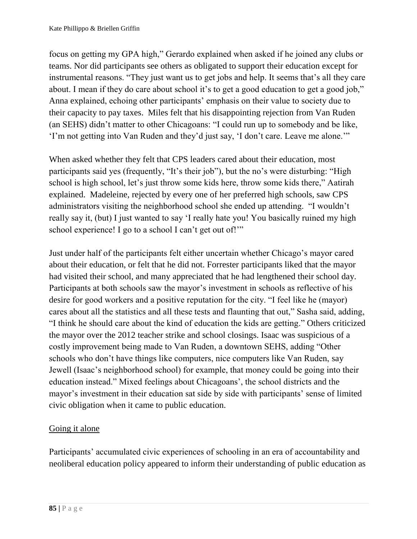focus on getting my GPA high," Gerardo explained when asked if he joined any clubs or teams. Nor did participants see others as obligated to support their education except for instrumental reasons. "They just want us to get jobs and help. It seems that's all they care about. I mean if they do care about school it's to get a good education to get a good job," Anna explained, echoing other participants' emphasis on their value to society due to their capacity to pay taxes. Miles felt that his disappointing rejection from Van Ruden (an SEHS) didn't matter to other Chicagoans: "I could run up to somebody and be like, 'I'm not getting into Van Ruden and they'd just say, 'I don't care. Leave me alone.'"

When asked whether they felt that CPS leaders cared about their education, most participants said yes (frequently, "It's their job"), but the no's were disturbing: "High school is high school, let's just throw some kids here, throw some kids there," Aatirah explained. Madeleine, rejected by every one of her preferred high schools, saw CPS administrators visiting the neighborhood school she ended up attending. "I wouldn't really say it, (but) I just wanted to say 'I really hate you! You basically ruined my high school experience! I go to a school I can't get out of!"

Just under half of the participants felt either uncertain whether Chicago's mayor cared about their education, or felt that he did not. Forrester participants liked that the mayor had visited their school, and many appreciated that he had lengthened their school day. Participants at both schools saw the mayor's investment in schools as reflective of his desire for good workers and a positive reputation for the city. "I feel like he (mayor) cares about all the statistics and all these tests and flaunting that out," Sasha said, adding, "I think he should care about the kind of education the kids are getting." Others criticized the mayor over the 2012 teacher strike and school closings. Isaac was suspicious of a costly improvement being made to Van Ruden, a downtown SEHS, adding "Other schools who don't have things like computers, nice computers like Van Ruden, say Jewell (Isaac's neighborhood school) for example, that money could be going into their education instead." Mixed feelings about Chicagoans', the school districts and the mayor's investment in their education sat side by side with participants' sense of limited civic obligation when it came to public education.

# Going it alone

Participants' accumulated civic experiences of schooling in an era of accountability and neoliberal education policy appeared to inform their understanding of public education as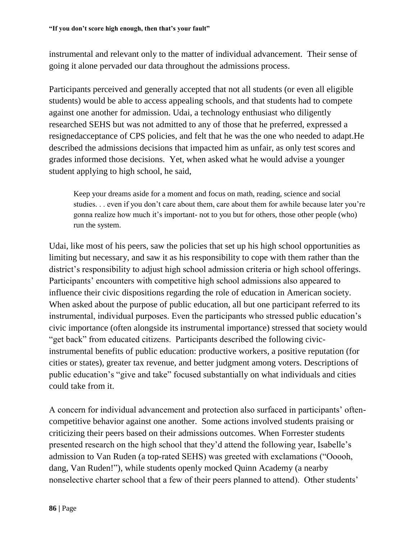instrumental and relevant only to the matter of individual advancement. Their sense of going it alone pervaded our data throughout the admissions process.

Participants perceived and generally accepted that not all students (or even all eligible students) would be able to access appealing schools, and that students had to compete against one another for admission. Udai, a technology enthusiast who diligently researched SEHS but was not admitted to any of those that he preferred, expressed a resignedacceptance of CPS policies, and felt that he was the one who needed to adapt.He described the admissions decisions that impacted him as unfair, as only test scores and grades informed those decisions. Yet, when asked what he would advise a younger student applying to high school, he said,

Keep your dreams aside for a moment and focus on math, reading, science and social studies. . . even if you don't care about them, care about them for awhile because later you're gonna realize how much it's important- not to you but for others, those other people (who) run the system.

Udai, like most of his peers, saw the policies that set up his high school opportunities as limiting but necessary, and saw it as his responsibility to cope with them rather than the district's responsibility to adjust high school admission criteria or high school offerings. Participants' encounters with competitive high school admissions also appeared to influence their civic dispositions regarding the role of education in American society. When asked about the purpose of public education, all but one participant referred to its instrumental, individual purposes. Even the participants who stressed public education's civic importance (often alongside its instrumental importance) stressed that society would "get back" from educated citizens. Participants described the following civicinstrumental benefits of public education: productive workers, a positive reputation (for cities or states), greater tax revenue, and better judgment among voters. Descriptions of public education's "give and take" focused substantially on what individuals and cities could take from it.

A concern for individual advancement and protection also surfaced in participants' oftencompetitive behavior against one another. Some actions involved students praising or criticizing their peers based on their admissions outcomes. When Forrester students presented research on the high school that they'd attend the following year, Isabelle's admission to Van Ruden (a top-rated SEHS) was greeted with exclamations ("Ooooh, dang, Van Ruden!"), while students openly mocked Quinn Academy (a nearby nonselective charter school that a few of their peers planned to attend). Other students'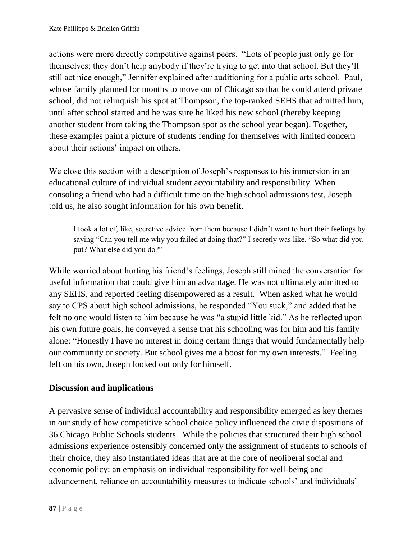actions were more directly competitive against peers. "Lots of people just only go for themselves; they don't help anybody if they're trying to get into that school. But they'll still act nice enough," Jennifer explained after auditioning for a public arts school. Paul, whose family planned for months to move out of Chicago so that he could attend private school, did not relinquish his spot at Thompson, the top-ranked SEHS that admitted him, until after school started and he was sure he liked his new school (thereby keeping another student from taking the Thompson spot as the school year began). Together, these examples paint a picture of students fending for themselves with limited concern about their actions' impact on others.

We close this section with a description of Joseph's responses to his immersion in an educational culture of individual student accountability and responsibility. When consoling a friend who had a difficult time on the high school admissions test, Joseph told us, he also sought information for his own benefit.

I took a lot of, like, secretive advice from them because I didn't want to hurt their feelings by saying "Can you tell me why you failed at doing that?" I secretly was like, "So what did you put? What else did you do?"

While worried about hurting his friend's feelings, Joseph still mined the conversation for useful information that could give him an advantage. He was not ultimately admitted to any SEHS, and reported feeling disempowered as a result. When asked what he would say to CPS about high school admissions, he responded "You suck," and added that he felt no one would listen to him because he was "a stupid little kid." As he reflected upon his own future goals, he conveyed a sense that his schooling was for him and his family alone: "Honestly I have no interest in doing certain things that would fundamentally help our community or society. But school gives me a boost for my own interests." Feeling left on his own, Joseph looked out only for himself.

# **Discussion and implications**

A pervasive sense of individual accountability and responsibility emerged as key themes in our study of how competitive school choice policy influenced the civic dispositions of 36 Chicago Public Schools students. While the policies that structured their high school admissions experience ostensibly concerned only the assignment of students to schools of their choice, they also instantiated ideas that are at the core of neoliberal social and economic policy: an emphasis on individual responsibility for well-being and advancement, reliance on accountability measures to indicate schools' and individuals'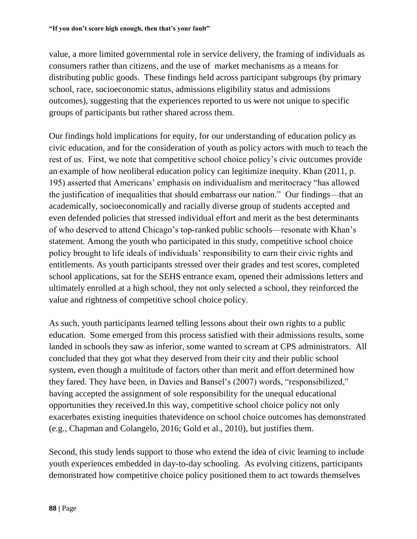value, a more limited governmental role in service delivery, the framing of individuals as consumers rather than citizens, and the use of market mechanisms as a means for distributing public goods. These findings held across participant subgroups (by primary school, race, socioeconomic status, admissions eligibility status and admissions outcomes), suggesting that the experiences reported to us were not unique to specific groups of participants but rather shared across them.

Our findings hold implications for equity, for our understanding of education policy as civic education, and for the consideration of youth as policy actors with much to teach the rest of us. First, we note that competitive school choice policy's civic outcomes provide an example of how neoliberal education policy can legitimize inequity. Khan (2011, p. 195) asserted that Americans' emphasis on individualism and meritocracy "has allowed the justification of inequalities that should embarrass our nation." Our findings—that an academically, socioeconomically and racially diverse group of students accepted and even defended policies that stressed individual effort and merit as the best determinants of who deserved to attend Chicago's top-ranked public schools—resonate with Khan's statement. Among the youth who participated in this study, competitive school choice policy brought to life ideals of individuals' responsibility to earn their civic rights and entitlements. As youth participants stressed over their grades and test scores, completed school applications, sat for the SEHS entrance exam, opened their admissions letters and ultimately enrolled at a high school, they not only selected a school, they reinforced the value and rightness of competitive school choice policy.

As such, youth participants learned telling lessons about their own rights to a public education. Some emerged from this process satisfied with their admissions results, some landed in schools they saw as inferior, some wanted to scream at CPS administrators. All concluded that they got what they deserved from their city and their public school system, even though a multitude of factors other than merit and effort determined how they fared. They have been, in Davies and Bansel's (2007) words, "responsibilized," having accepted the assignment of sole responsibility for the unequal educational opportunities they received.In this way, competitive school choice policy not only exacerbates existing inequities thatevidence on school choice outcomes has demonstrated (e.g., Chapman and Colangelo, 2016; Gold et al., 2010), but justifies them.

Second, this study lends support to those who extend the idea of civic learning to include youth experiences embedded in day-to-day schooling. As evolving citizens, participants demonstrated how competitive choice policy positioned them to act towards themselves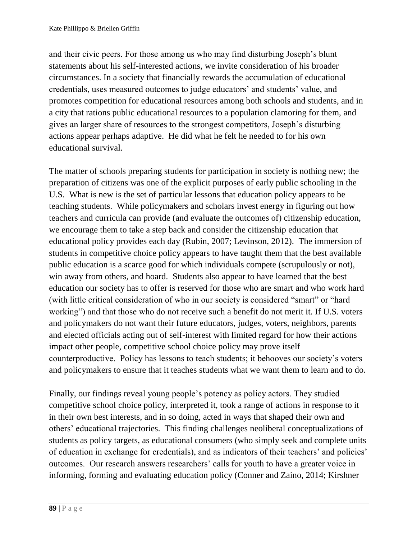and their civic peers. For those among us who may find disturbing Joseph's blunt statements about his self-interested actions, we invite consideration of his broader circumstances. In a society that financially rewards the accumulation of educational credentials, uses measured outcomes to judge educators' and students' value, and promotes competition for educational resources among both schools and students, and in a city that rations public educational resources to a population clamoring for them, and gives an larger share of resources to the strongest competitors, Joseph's disturbing actions appear perhaps adaptive. He did what he felt he needed to for his own educational survival.

The matter of schools preparing students for participation in society is nothing new; the preparation of citizens was one of the explicit purposes of early public schooling in the U.S. What is new is the set of particular lessons that education policy appears to be teaching students. While policymakers and scholars invest energy in figuring out how teachers and curricula can provide (and evaluate the outcomes of) citizenship education, we encourage them to take a step back and consider the citizenship education that educational policy provides each day (Rubin, 2007; Levinson, 2012). The immersion of students in competitive choice policy appears to have taught them that the best available public education is a scarce good for which individuals compete (scrupulously or not), win away from others, and hoard. Students also appear to have learned that the best education our society has to offer is reserved for those who are smart and who work hard (with little critical consideration of who in our society is considered "smart" or "hard working") and that those who do not receive such a benefit do not merit it. If U.S. voters and policymakers do not want their future educators, judges, voters, neighbors, parents and elected officials acting out of self-interest with limited regard for how their actions impact other people, competitive school choice policy may prove itself counterproductive. Policy has lessons to teach students; it behooves our society's voters and policymakers to ensure that it teaches students what we want them to learn and to do.

Finally, our findings reveal young people's potency as policy actors. They studied competitive school choice policy, interpreted it, took a range of actions in response to it in their own best interests, and in so doing, acted in ways that shaped their own and others' educational trajectories. This finding challenges neoliberal conceptualizations of students as policy targets, as educational consumers (who simply seek and complete units of education in exchange for credentials), and as indicators of their teachers' and policies' outcomes. Our research answers researchers' calls for youth to have a greater voice in informing, forming and evaluating education policy (Conner and Zaino, 2014; Kirshner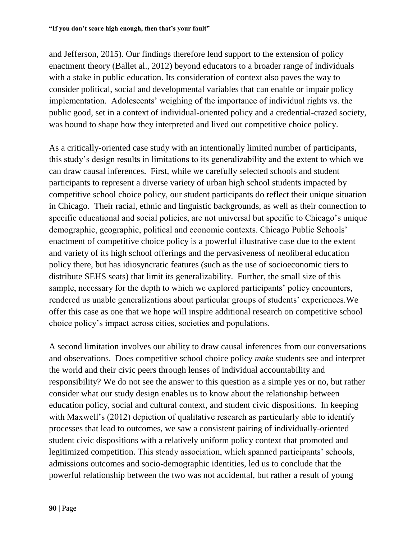and Jefferson, 2015). Our findings therefore lend support to the extension of policy enactment theory (Ballet al., 2012) beyond educators to a broader range of individuals with a stake in public education. Its consideration of context also paves the way to consider political, social and developmental variables that can enable or impair policy implementation. Adolescents' weighing of the importance of individual rights vs. the public good, set in a context of individual-oriented policy and a credential-crazed society, was bound to shape how they interpreted and lived out competitive choice policy.

As a critically-oriented case study with an intentionally limited number of participants, this study's design results in limitations to its generalizability and the extent to which we can draw causal inferences. First, while we carefully selected schools and student participants to represent a diverse variety of urban high school students impacted by competitive school choice policy, our student participants do reflect their unique situation in Chicago. Their racial, ethnic and linguistic backgrounds, as well as their connection to specific educational and social policies, are not universal but specific to Chicago's unique demographic, geographic, political and economic contexts. Chicago Public Schools' enactment of competitive choice policy is a powerful illustrative case due to the extent and variety of its high school offerings and the pervasiveness of neoliberal education policy there, but has idiosyncratic features (such as the use of socioeconomic tiers to distribute SEHS seats) that limit its generalizability. Further, the small size of this sample, necessary for the depth to which we explored participants' policy encounters, rendered us unable generalizations about particular groups of students' experiences.We offer this case as one that we hope will inspire additional research on competitive school choice policy's impact across cities, societies and populations.

A second limitation involves our ability to draw causal inferences from our conversations and observations. Does competitive school choice policy *make* students see and interpret the world and their civic peers through lenses of individual accountability and responsibility? We do not see the answer to this question as a simple yes or no, but rather consider what our study design enables us to know about the relationship between education policy, social and cultural context, and student civic dispositions. In keeping with Maxwell's (2012) depiction of qualitative research as particularly able to identify processes that lead to outcomes, we saw a consistent pairing of individually-oriented student civic dispositions with a relatively uniform policy context that promoted and legitimized competition. This steady association, which spanned participants' schools, admissions outcomes and socio-demographic identities, led us to conclude that the powerful relationship between the two was not accidental, but rather a result of young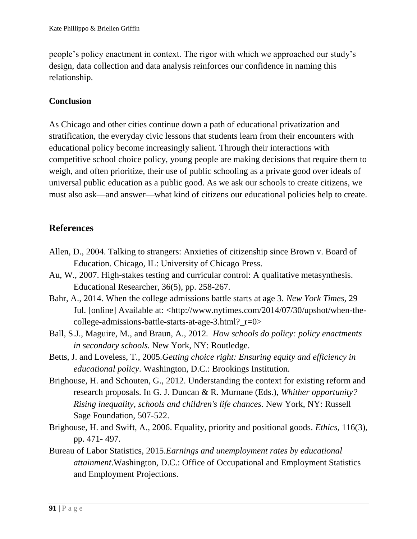people's policy enactment in context. The rigor with which we approached our study's design, data collection and data analysis reinforces our confidence in naming this relationship.

# **Conclusion**

As Chicago and other cities continue down a path of educational privatization and stratification, the everyday civic lessons that students learn from their encounters with educational policy become increasingly salient. Through their interactions with competitive school choice policy, young people are making decisions that require them to weigh, and often prioritize, their use of public schooling as a private good over ideals of universal public education as a public good. As we ask our schools to create citizens, we must also ask—and answer—what kind of citizens our educational policies help to create.

# **References**

- Allen, D., 2004. Talking to strangers: Anxieties of citizenship since Brown v. Board of Education. Chicago, IL: University of Chicago Press.
- Au, W., 2007. High-stakes testing and curricular control: A qualitative metasynthesis. Educational Researcher, 36(5), pp. 258-267.
- Bahr, A., 2014. When the college admissions battle starts at age 3. *New York Times*, 29 Jul. [online] Available at: [<http://www.nytimes.com/2014/07/30/upshot/when-the](http://www.nytimes.com/2014/07/30/upshot/when-the-college-admissions-battle-starts-at-age-3.html?_r=0)[college-admissions-battle-starts-at-age-3.html?\\_r=0>](http://www.nytimes.com/2014/07/30/upshot/when-the-college-admissions-battle-starts-at-age-3.html?_r=0)
- Ball, S.J., Maguire, M., and Braun, A., 2012*. How schools do policy: policy enactments in secondary schools.* New York, NY: Routledge.
- Betts, J. and Loveless, T., 2005.*Getting choice right: Ensuring equity and efficiency in educational policy*. Washington, D.C.: Brookings Institution.
- Brighouse, H. and Schouten, G., 2012. Understanding the context for existing reform and research proposals. In G. J. Duncan & R. Murnane (Eds.), *Whither opportunity? Rising inequality, schools and children's life chances*. New York, NY: Russell Sage Foundation, 507-522.
- Brighouse, H. and Swift, A., 2006. Equality, priority and positional goods. *Ethics,* 116(3), pp. 471- 497.
- Bureau of Labor Statistics, 2015.*Earnings and unemployment rates by educational attainment*.Washington, D.C.: Office of Occupational and Employment Statistics and Employment Projections.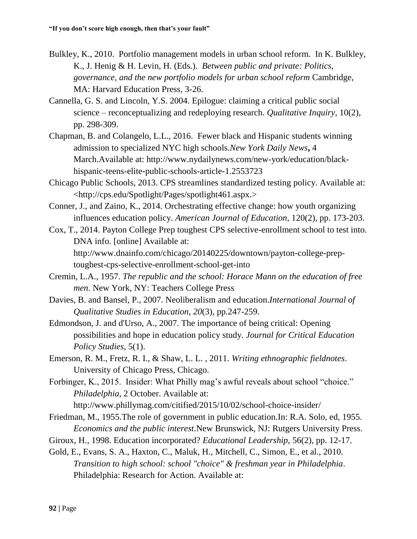- Bulkley, K., 2010. Portfolio management models in urban school reform. In K. Bulkley, K., J. Henig & H. Levin, H. (Eds.). *Between public and private: Politics, governance, and the new portfolio models for urban school reform* Cambridge, MA: Harvard Education Press, 3-26.
- Cannella, G. S. and Lincoln, Y.S. 2004. Epilogue: claiming a critical public social science – reconceptualizing and redeploying research. *Qualitative Inquiry,* 10(2), pp. 298-309.
- Chapman, B. and Colangelo, L.L., 2016. Fewer black and Hispanic students winning admission to specialized NYC high schools.*New York Daily News***,** 4 March.Available at: [http://www.nydailynews.com/new-york/education/black](http://www.nydailynews.com/new-york/education/black-hispanic-teens-elite-public-schools-article-1.2553723)[hispanic-teens-elite-public-schools-article-1.2553723](http://www.nydailynews.com/new-york/education/black-hispanic-teens-elite-public-schools-article-1.2553723)
- Chicago Public Schools, 2013. CPS streamlines standardized testing policy. Available at: [<http://cps.edu/Spotlight/Pages/spotlight461.aspx.](http://cps.edu/Spotlight/Pages/spotlight461.aspx)>
- Conner, J., and Zaino, K., 2014. Orchestrating effective change: how youth organizing influences education policy. *American Journal of Education*, 120(2), pp. 173-203.
- Cox, T., 2014. Payton College Prep toughest CPS selective-enrollment school to test into. DNA info. [online] Available at: [http://www.dnainfo.com/chicago/20140225/downtown/payton-college-prep](http://www.dnainfo.com/chicago/20140225/downtown/payton-college-prep-toughest-cps-selective-enrollment-school-get-into)[toughest-cps-selective-enrollment-school-get-into](http://www.dnainfo.com/chicago/20140225/downtown/payton-college-prep-toughest-cps-selective-enrollment-school-get-into)
- Cremin, L.A., 1957. *The republic and the school: Horace Mann on the education of free men*. New York, NY: Teachers College Press
- Davies, B. and Bansel, P., 2007. Neoliberalism and education.*International Journal of Qualitative Studies in Education*, *20*(3), pp.247-259.
- Edmondson, J. and d'Urso, A., 2007. The importance of being critical: Opening possibilities and hope in education policy study. *Journal for Critical Education Policy Studies,* 5(1).
- Emerson, R. M., Fretz, R. I., & Shaw, L. L. , 2011. *Writing ethnographic fieldnotes*. University of Chicago Press, Chicago.
- Forbinger, K., 2015. Insider: What Philly mag's awful reveals about school "choice." *Philadelphia*, 2 October. Available at: <http://www.phillymag.com/citified/2015/10/02/school-choice-insider/>
- Friedman, M., 1955.The role of government in public education.In: R.A. Solo, ed, 1955. *Economics and the public interest*.New Brunswick, NJ: Rutgers University Press.
- Giroux, H., 1998. Education incorporated? *Educational Leadership,* 56(2), pp. 12-17.
- Gold, E., Evans, S. A., Haxton, C., Maluk, H., Mitchell, C., Simon, E., et al., 2010. *Transition to high school: school "choice" & freshman year in Philadelphia*. Philadelphia: Research for Action. Available at: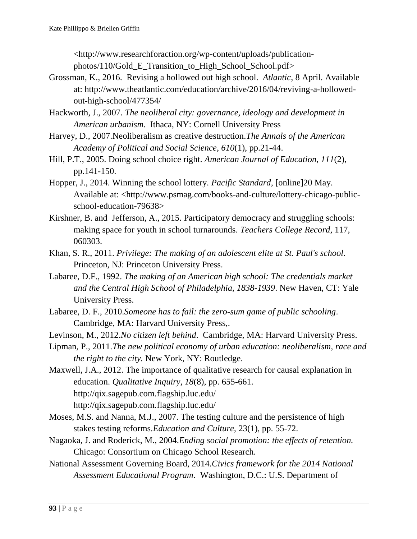[<http://www.researchforaction.org/wp-content/uploads/publication](http://www.researchforaction.org/wp-content/uploads/publication-photos/110/Gold_E_Transition_to_High_School_School.pdf)[photos/110/Gold\\_E\\_Transition\\_to\\_High\\_School\\_School.pdf>](http://www.researchforaction.org/wp-content/uploads/publication-photos/110/Gold_E_Transition_to_High_School_School.pdf)

- Grossman, K., 2016. Revising a hollowed out high school. *Atlantic*, 8 April. Available at: [http://www.theatlantic.com/education/archive/2016/04/reviving-a-hollowed](http://www.theatlantic.com/education/archive/2016/04/reviving-a-hollowed-out-high-school/477354/)[out-high-school/477354/](http://www.theatlantic.com/education/archive/2016/04/reviving-a-hollowed-out-high-school/477354/)
- Hackworth, J., 2007. *The neoliberal city: governance, ideology and development in American urbanism*. Ithaca, NY: Cornell University Press
- Harvey, D., 2007.Neoliberalism as creative destruction.*The Annals of the American Academy of Political and Social Science*, *610*(1), pp.21-44.
- Hill, P.T., 2005. Doing school choice right. *American Journal of Education*, *111*(2), pp.141-150.
- Hopper, J., 2014. Winning the school lottery. *Pacific Standard*, [online]20 May. Available at: [<http://www.psmag.com/books-and-culture/lottery-chicago-public](http://www.psmag.com/books-and-culture/lottery-chicago-public-school-education-79638)[school-education-79638>](http://www.psmag.com/books-and-culture/lottery-chicago-public-school-education-79638)
- Kirshner, B. and Jefferson, A., 2015. Participatory democracy and struggling schools: making space for youth in school turnarounds. *Teachers College Record*, 117, 060303.
- Khan, S. R., 2011. *Privilege: The making of an adolescent elite at St. Paul's school*. Princeton, NJ: Princeton University Press.
- Labaree, D.F., 1992. *The making of an American high school: The credentials market and the Central High School of Philadelphia, 1838-1939*. New Haven, CT: Yale University Press.
- Labaree, D. F., 2010.*Someone has to fail: the zero-sum game of public schooling*. Cambridge, MA: Harvard University Press,.
- Levinson, M., 2012.*No citizen left behind*. Cambridge, MA: Harvard University Press.
- Lipman, P., 2011.*The new political economy of urban education: neoliberalism, race and the right to the city.* New York, NY: Routledge.

[Maxwell, J.A., 2012. The importance of qualitative research for causal explanation in](http://qix.sagepub.com.flagship.luc.edu/)  [education.](http://qix.sagepub.com.flagship.luc.edu/) *[Qualitative Inquiry, 18](http://qix.sagepub.com.flagship.luc.edu/)*[\(8\), pp. 655-661.](http://qix.sagepub.com.flagship.luc.edu/)  <http://qix.sagepub.com.flagship.luc.edu/> <http://qix.sagepub.com.flagship.luc.edu/>

- Moses, M.S. and Nanna, M.J., 2007. The testing culture and the persistence of high stakes testing reforms.*Education and Culture,* 23(1), pp. 55-72.
- Nagaoka, J. and Roderick, M., 2004.*Ending social promotion: the effects of retention.*  Chicago: Consortium on Chicago School Research.
- National Assessment Governing Board, 2014.*Civics framework for the 2014 National Assessment Educational Program*. Washington, D.C.: U.S. Department of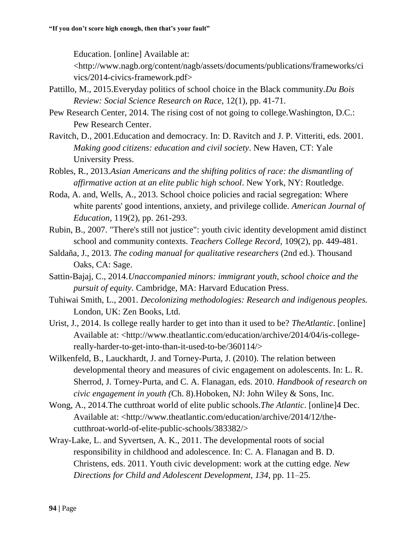Education. [online] Available at:

<http://www.nagb.org/content/nagb/assets/documents/publications/frameworks/ci vics/2014-civics-framework.pdf>

- Pattillo, M., 2015.Everyday politics of school choice in the Black community.*Du Bois Review: Social Science Research on Race,* 12(1), pp. 41-71.
- Pew Research Center, 2014. The rising cost of not going to college.Washington, D.C.: Pew Research Center.
- Ravitch, D., 2001.Education and democracy. In: D. Ravitch and J. P. Vitteriti, eds. 2001. *Making good citizens: education and civil society*. New Haven, CT: Yale University Press.
- Robles, R., 2013.*Asian Americans and the shifting politics of race: the dismantling of affirmative action at an elite public high school*. New York, NY: Routledge.
- Roda, A. and, Wells, A., 2013. School choice policies and racial segregation: Where white parents' good intentions, anxiety, and privilege collide. *American Journal of Education,* 119(2), pp. 261-293.
- Rubin, B., 2007. "There's still not justice": youth civic identity development amid distinct school and community contexts. *Teachers College Record,* 109(2), pp. 449-481.
- Saldaña, J., 2013. *The coding manual for qualitative researchers* (2nd ed.). Thousand Oaks, CA: Sage.
- Sattin-Bajaj, C., 2014.*Unaccompanied minors: immigrant youth, school choice and the pursuit of equity*. Cambridge, MA: Harvard Education Press.
- Tuhiwai Smith, L., 2001. *Decolonizing methodologies: Research and indigenous peoples.*  London, UK: Zen Books, Ltd.
- Urist, J., 2014. Is college really harder to get into than it used to be? *TheAtlantic*. [online] Available at: [<http://www.theatlantic.com/education/archive/2014/04/is-college](http://www.theatlantic.com/education/archive/2014/04/is-college-really-harder-to-get-into-than-it-used-to-be/360114/)[really-harder-to-get-into-than-it-used-to-be/360114/>](http://www.theatlantic.com/education/archive/2014/04/is-college-really-harder-to-get-into-than-it-used-to-be/360114/)
- Wilkenfeld, B., Lauckhardt, J. and Torney-Purta, J. (2010). The relation between developmental theory and measures of civic engagement on adolescents. In: L. R. Sherrod, J. Torney-Purta, and C. A. Flanagan, eds. 2010. *Handbook of research on civic engagement in youth (*Ch. 8)*.*Hoboken, NJ: John Wiley & Sons, Inc.
- Wong, A., 2014.The cutthroat world of elite public schools.*The Atlantic*. [online]4 Dec. Available at: [<http://www.theatlantic.com/education/archive/2014/12/the](http://www.theatlantic.com/education/archive/2014/12/the-cutthroat-world-of-elite-public-schools/383382/)[cutthroat-world-of-elite-public-schools/383382/>](http://www.theatlantic.com/education/archive/2014/12/the-cutthroat-world-of-elite-public-schools/383382/)
- Wray-Lake, L. and Syvertsen, A. K., 2011. The developmental roots of social responsibility in childhood and adolescence. In: C. A. Flanagan and B. D. Christens, eds. 2011. Youth civic development: work at the cutting edge. *New Directions for Child and Adolescent Development, 134*, pp. 11–25.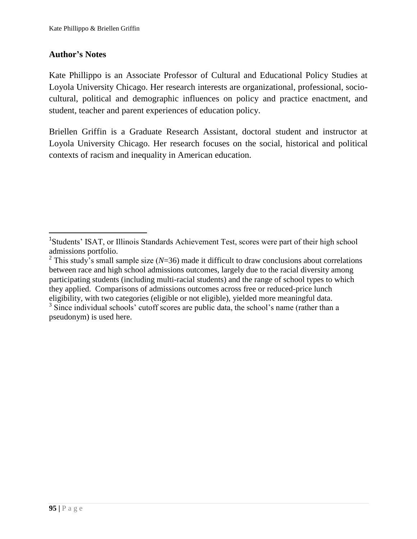# **Author's Notes**

 $\overline{a}$ 

Kate Phillippo is an Associate Professor of Cultural and Educational Policy Studies at Loyola University Chicago. Her research interests are organizational, professional, sociocultural, political and demographic influences on policy and practice enactment, and student, teacher and parent experiences of education policy.

Briellen Griffin is a Graduate Research Assistant, doctoral student and instructor at Loyola University Chicago. Her research focuses on the social, historical and political contexts of racism and inequality in American education.

<sup>&</sup>lt;sup>1</sup>Students' ISAT, or Illinois Standards Achievement Test, scores were part of their high school admissions portfolio.

<sup>&</sup>lt;sup>2</sup> This study's small sample size ( $N=36$ ) made it difficult to draw conclusions about correlations between race and high school admissions outcomes, largely due to the racial diversity among participating students (including multi-racial students) and the range of school types to which they applied. Comparisons of admissions outcomes across free or reduced-price lunch eligibility, with two categories (eligible or not eligible), yielded more meaningful data.

<sup>&</sup>lt;sup>3</sup> Since individual schools' cutoff scores are public data, the school's name (rather than a pseudonym) is used here.